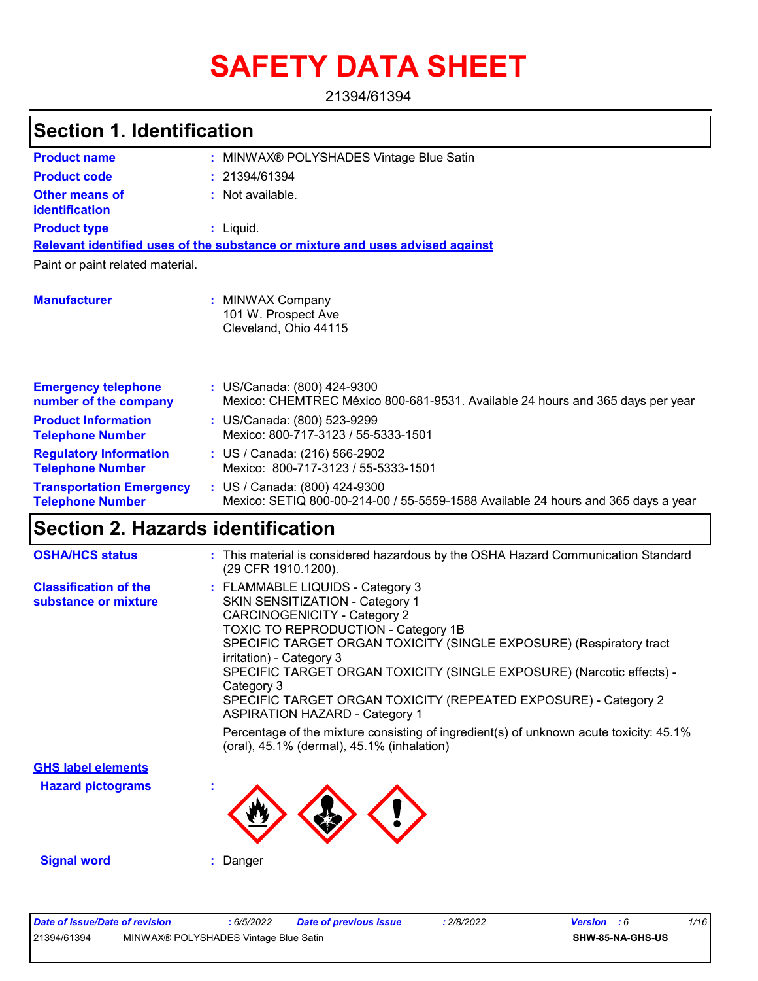# **SAFETY DATA SHEET**

21394/61394

| <b>Section 1. Identification</b>                           |                                                                                                                    |  |  |  |  |  |  |
|------------------------------------------------------------|--------------------------------------------------------------------------------------------------------------------|--|--|--|--|--|--|
| <b>Product name</b>                                        | : MINWAX® POLYSHADES Vintage Blue Satin                                                                            |  |  |  |  |  |  |
| <b>Product code</b>                                        | : 21394/61394                                                                                                      |  |  |  |  |  |  |
| Other means of<br><b>identification</b>                    | : Not available.                                                                                                   |  |  |  |  |  |  |
| <b>Product type</b>                                        | $:$ Liquid.                                                                                                        |  |  |  |  |  |  |
|                                                            | Relevant identified uses of the substance or mixture and uses advised against                                      |  |  |  |  |  |  |
| Paint or paint related material.                           |                                                                                                                    |  |  |  |  |  |  |
| <b>Manufacturer</b>                                        | : MINWAX Company<br>101 W. Prospect Ave<br>Cleveland, Ohio 44115                                                   |  |  |  |  |  |  |
| <b>Emergency telephone</b><br>number of the company        | : US/Canada: (800) 424-9300<br>Mexico: CHEMTREC México 800-681-9531. Available 24 hours and 365 days per year      |  |  |  |  |  |  |
| <b>Product Information</b><br><b>Telephone Number</b>      | : US/Canada: (800) 523-9299<br>Mexico: 800-717-3123 / 55-5333-1501                                                 |  |  |  |  |  |  |
| <b>Regulatory Information</b><br><b>Telephone Number</b>   | : US / Canada: (216) 566-2902<br>Mexico: 800-717-3123 / 55-5333-1501                                               |  |  |  |  |  |  |
| <b>Transportation Emergency</b><br><b>Telephone Number</b> | : US / Canada: (800) 424-9300<br>Mexico: SETIQ 800-00-214-00 / 55-5559-1588 Available 24 hours and 365 days a year |  |  |  |  |  |  |
| <b>Section 2. Hazards identification</b>                   |                                                                                                                    |  |  |  |  |  |  |

| <b>OSHA/HCS status</b>                               | : This material is considered hazardous by the OSHA Hazard Communication Standard<br>(29 CFR 1910.1200).                                                                                                                                                                                                                                                                                                                                         |
|------------------------------------------------------|--------------------------------------------------------------------------------------------------------------------------------------------------------------------------------------------------------------------------------------------------------------------------------------------------------------------------------------------------------------------------------------------------------------------------------------------------|
| <b>Classification of the</b><br>substance or mixture | : FLAMMABLE LIQUIDS - Category 3<br>SKIN SENSITIZATION - Category 1<br>CARCINOGENICITY - Category 2<br>TOXIC TO REPRODUCTION - Category 1B<br>SPECIFIC TARGET ORGAN TOXICITY (SINGLE EXPOSURE) (Respiratory tract<br>irritation) - Category 3<br>SPECIFIC TARGET ORGAN TOXICITY (SINGLE EXPOSURE) (Narcotic effects) -<br>Category 3<br>SPECIFIC TARGET ORGAN TOXICITY (REPEATED EXPOSURE) - Category 2<br><b>ASPIRATION HAZARD - Category 1</b> |
|                                                      | Percentage of the mixture consisting of ingredient(s) of unknown acute toxicity: $45.1\%$<br>(oral), 45.1% (dermal), 45.1% (inhalation)                                                                                                                                                                                                                                                                                                          |
| <b>GHS label elements</b>                            |                                                                                                                                                                                                                                                                                                                                                                                                                                                  |
| <b>Hazard pictograms</b>                             |                                                                                                                                                                                                                                                                                                                                                                                                                                                  |
| <b>Signal word</b>                                   | : Danger                                                                                                                                                                                                                                                                                                                                                                                                                                         |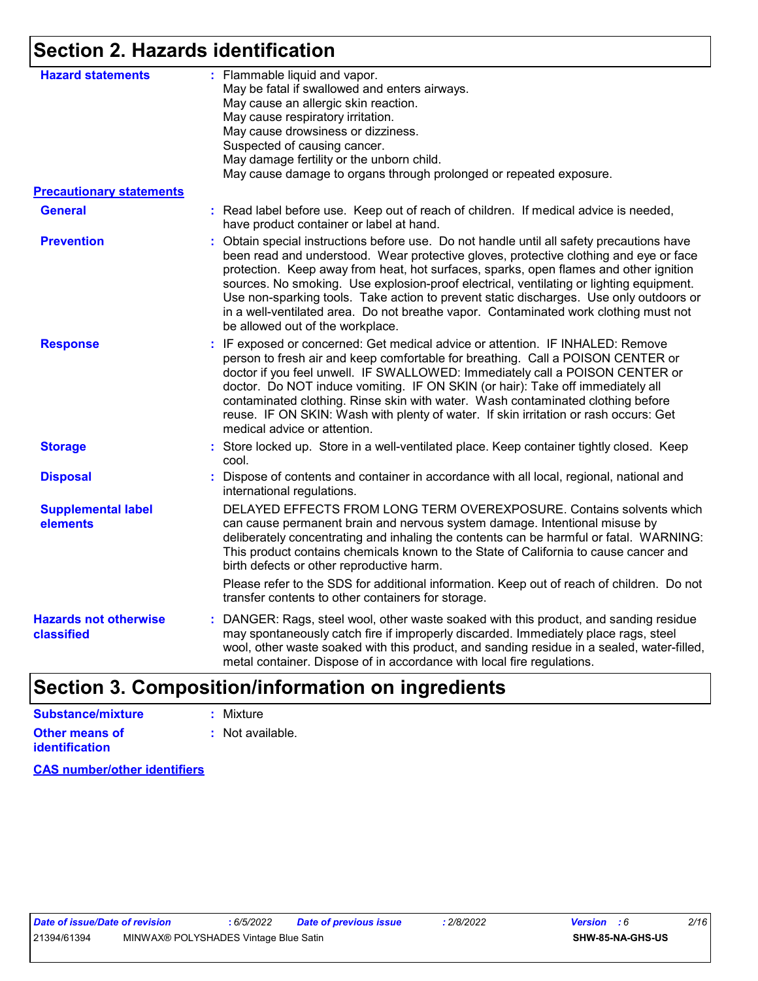# **Section 2. Hazards identification**

| <b>Hazard statements</b>                   | : Flammable liquid and vapor.<br>May be fatal if swallowed and enters airways.<br>May cause an allergic skin reaction.<br>May cause respiratory irritation.<br>May cause drowsiness or dizziness.<br>Suspected of causing cancer.<br>May damage fertility or the unborn child.<br>May cause damage to organs through prolonged or repeated exposure.                                                                                                                                                                                                                                         |  |  |  |  |  |
|--------------------------------------------|----------------------------------------------------------------------------------------------------------------------------------------------------------------------------------------------------------------------------------------------------------------------------------------------------------------------------------------------------------------------------------------------------------------------------------------------------------------------------------------------------------------------------------------------------------------------------------------------|--|--|--|--|--|
| <b>Precautionary statements</b>            |                                                                                                                                                                                                                                                                                                                                                                                                                                                                                                                                                                                              |  |  |  |  |  |
| <b>General</b>                             | : Read label before use. Keep out of reach of children. If medical advice is needed,<br>have product container or label at hand.                                                                                                                                                                                                                                                                                                                                                                                                                                                             |  |  |  |  |  |
| <b>Prevention</b>                          | : Obtain special instructions before use. Do not handle until all safety precautions have<br>been read and understood. Wear protective gloves, protective clothing and eye or face<br>protection. Keep away from heat, hot surfaces, sparks, open flames and other ignition<br>sources. No smoking. Use explosion-proof electrical, ventilating or lighting equipment.<br>Use non-sparking tools. Take action to prevent static discharges. Use only outdoors or<br>in a well-ventilated area. Do not breathe vapor. Contaminated work clothing must not<br>be allowed out of the workplace. |  |  |  |  |  |
| <b>Response</b>                            | : IF exposed or concerned: Get medical advice or attention. IF INHALED: Remove<br>person to fresh air and keep comfortable for breathing. Call a POISON CENTER or<br>doctor if you feel unwell. IF SWALLOWED: Immediately call a POISON CENTER or<br>doctor. Do NOT induce vomiting. IF ON SKIN (or hair): Take off immediately all<br>contaminated clothing. Rinse skin with water. Wash contaminated clothing before<br>reuse. IF ON SKIN: Wash with plenty of water. If skin irritation or rash occurs: Get<br>medical advice or attention.                                               |  |  |  |  |  |
| <b>Storage</b>                             | : Store locked up. Store in a well-ventilated place. Keep container tightly closed. Keep<br>cool.                                                                                                                                                                                                                                                                                                                                                                                                                                                                                            |  |  |  |  |  |
| <b>Disposal</b>                            | : Dispose of contents and container in accordance with all local, regional, national and<br>international regulations.                                                                                                                                                                                                                                                                                                                                                                                                                                                                       |  |  |  |  |  |
| <b>Supplemental label</b><br>elements      | DELAYED EFFECTS FROM LONG TERM OVEREXPOSURE. Contains solvents which<br>can cause permanent brain and nervous system damage. Intentional misuse by<br>deliberately concentrating and inhaling the contents can be harmful or fatal. WARNING:<br>This product contains chemicals known to the State of California to cause cancer and<br>birth defects or other reproductive harm.                                                                                                                                                                                                            |  |  |  |  |  |
|                                            | Please refer to the SDS for additional information. Keep out of reach of children. Do not<br>transfer contents to other containers for storage.                                                                                                                                                                                                                                                                                                                                                                                                                                              |  |  |  |  |  |
| <b>Hazards not otherwise</b><br>classified | DANGER: Rags, steel wool, other waste soaked with this product, and sanding residue<br>may spontaneously catch fire if improperly discarded. Immediately place rags, steel<br>wool, other waste soaked with this product, and sanding residue in a sealed, water-filled,<br>metal container. Dispose of in accordance with local fire regulations.                                                                                                                                                                                                                                           |  |  |  |  |  |
|                                            |                                                                                                                                                                                                                                                                                                                                                                                                                                                                                                                                                                                              |  |  |  |  |  |

# **Section 3. Composition/information on ingredients**

| Substance/mixture     | : Mixture        |
|-----------------------|------------------|
| Other means of        | : Not available. |
| <b>identification</b> |                  |

**CAS number/other identifiers**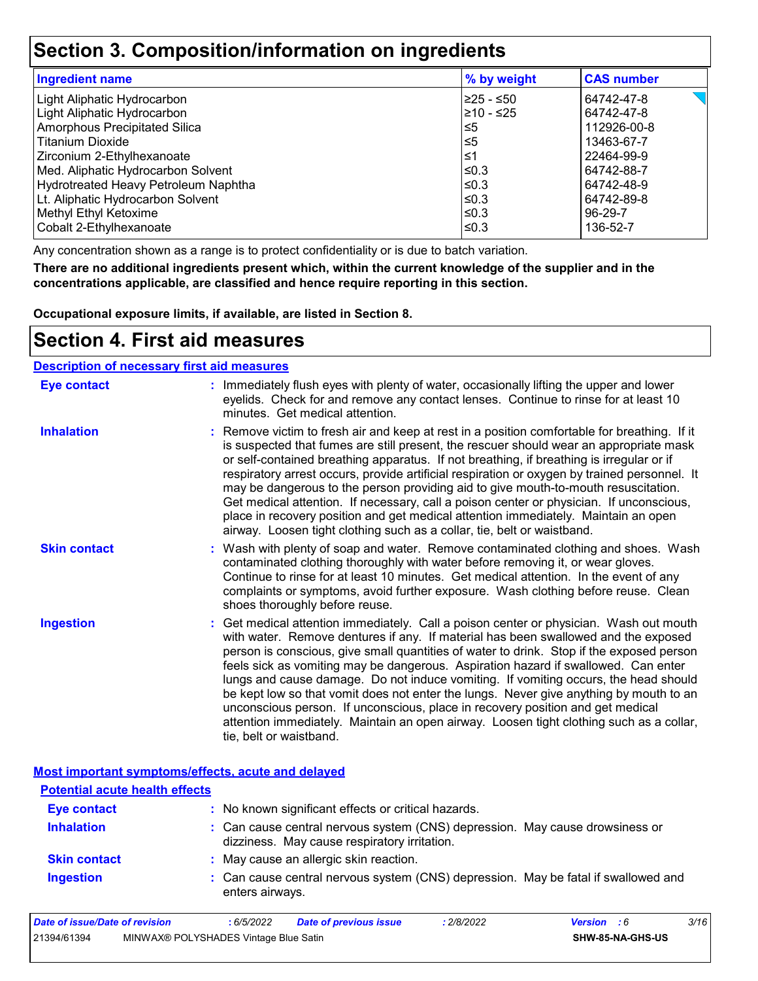## **Section 3. Composition/information on ingredients**

| <b>Ingredient name</b>               | % by weight | <b>CAS number</b> |
|--------------------------------------|-------------|-------------------|
| Light Aliphatic Hydrocarbon          | l≥25 - ≤50  | 64742-47-8        |
| Light Aliphatic Hydrocarbon          | 210 - ≤25   | 64742-47-8        |
| <b>Amorphous Precipitated Silica</b> | ≤5          | 112926-00-8       |
| <b>Titanium Dioxide</b>              | $\leq 5$    | 13463-67-7        |
| Zirconium 2-Ethylhexanoate           | ≤1          | 22464-99-9        |
| Med. Aliphatic Hydrocarbon Solvent   | l≤0.3       | 64742-88-7        |
| Hydrotreated Heavy Petroleum Naphtha | $\leq 0.3$  | 64742-48-9        |
| Lt. Aliphatic Hydrocarbon Solvent    | $\leq 0.3$  | 64742-89-8        |
| Methyl Ethyl Ketoxime                | l≤0.3       | 96-29-7           |
| Cobalt 2-Ethylhexanoate              | l≤0.3       | 136-52-7          |

Any concentration shown as a range is to protect confidentiality or is due to batch variation.

**There are no additional ingredients present which, within the current knowledge of the supplier and in the concentrations applicable, are classified and hence require reporting in this section.**

**Occupational exposure limits, if available, are listed in Section 8.**

### **Section 4. First aid measures**

| <b>Description of necessary first aid measures</b> |                                                                                                                                                                                                                                                                                                                                                                                                                                                                                                                                                                                                                                                                                                                                                         |
|----------------------------------------------------|---------------------------------------------------------------------------------------------------------------------------------------------------------------------------------------------------------------------------------------------------------------------------------------------------------------------------------------------------------------------------------------------------------------------------------------------------------------------------------------------------------------------------------------------------------------------------------------------------------------------------------------------------------------------------------------------------------------------------------------------------------|
| <b>Eye contact</b>                                 | : Immediately flush eyes with plenty of water, occasionally lifting the upper and lower<br>eyelids. Check for and remove any contact lenses. Continue to rinse for at least 10<br>minutes. Get medical attention.                                                                                                                                                                                                                                                                                                                                                                                                                                                                                                                                       |
| <b>Inhalation</b>                                  | : Remove victim to fresh air and keep at rest in a position comfortable for breathing. If it<br>is suspected that fumes are still present, the rescuer should wear an appropriate mask<br>or self-contained breathing apparatus. If not breathing, if breathing is irregular or if<br>respiratory arrest occurs, provide artificial respiration or oxygen by trained personnel. It<br>may be dangerous to the person providing aid to give mouth-to-mouth resuscitation.<br>Get medical attention. If necessary, call a poison center or physician. If unconscious,<br>place in recovery position and get medical attention immediately. Maintain an open<br>airway. Loosen tight clothing such as a collar, tie, belt or waistband.                    |
| <b>Skin contact</b>                                | : Wash with plenty of soap and water. Remove contaminated clothing and shoes. Wash<br>contaminated clothing thoroughly with water before removing it, or wear gloves.<br>Continue to rinse for at least 10 minutes. Get medical attention. In the event of any<br>complaints or symptoms, avoid further exposure. Wash clothing before reuse. Clean<br>shoes thoroughly before reuse.                                                                                                                                                                                                                                                                                                                                                                   |
| <b>Ingestion</b>                                   | : Get medical attention immediately. Call a poison center or physician. Wash out mouth<br>with water. Remove dentures if any. If material has been swallowed and the exposed<br>person is conscious, give small quantities of water to drink. Stop if the exposed person<br>feels sick as vomiting may be dangerous. Aspiration hazard if swallowed. Can enter<br>lungs and cause damage. Do not induce vomiting. If vomiting occurs, the head should<br>be kept low so that vomit does not enter the lungs. Never give anything by mouth to an<br>unconscious person. If unconscious, place in recovery position and get medical<br>attention immediately. Maintain an open airway. Loosen tight clothing such as a collar,<br>tie, belt or waistband. |

#### **Most important symptoms/effects, acute and delayed**

| <b>Potential acute health effects</b> |                                                                                                                              |  |
|---------------------------------------|------------------------------------------------------------------------------------------------------------------------------|--|
| <b>Eye contact</b>                    | : No known significant effects or critical hazards.                                                                          |  |
| <b>Inhalation</b>                     | : Can cause central nervous system (CNS) depression. May cause drowsiness or<br>dizziness. May cause respiratory irritation. |  |
| <b>Skin contact</b>                   | : May cause an allergic skin reaction.                                                                                       |  |
| <b>Ingestion</b>                      | : Can cause central nervous system (CNS) depression. May be fatal if swallowed and<br>enters airways.                        |  |

| Date of issue/Date of revision |                                       | 6/5/2022 | Date of previous issue | : 2/8/2022 | <b>Version</b> : 6 |                  | 3/16 |
|--------------------------------|---------------------------------------|----------|------------------------|------------|--------------------|------------------|------|
| 21394/61394                    | MINWAX® POLYSHADES Vintage Blue Satin |          |                        |            |                    | SHW-85-NA-GHS-US |      |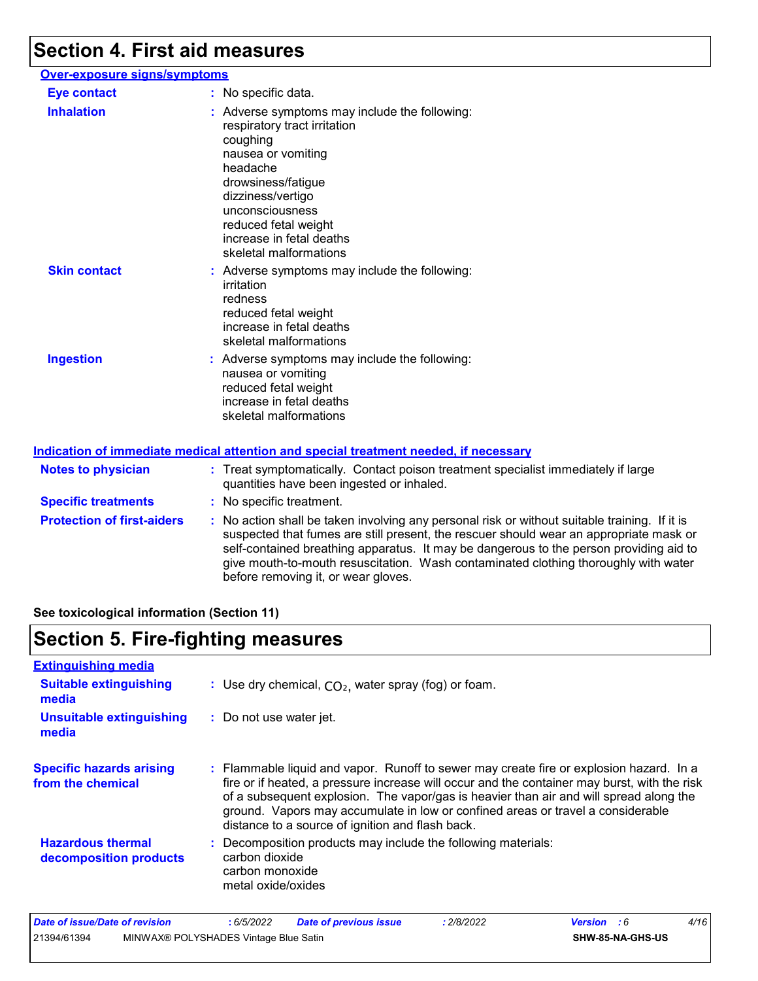# **Section 4. First aid measures**

| Over-exposure signs/symptoms |                                                                                                                                                                                                                                                                         |
|------------------------------|-------------------------------------------------------------------------------------------------------------------------------------------------------------------------------------------------------------------------------------------------------------------------|
| <b>Eye contact</b>           | : No specific data.                                                                                                                                                                                                                                                     |
| <b>Inhalation</b>            | : Adverse symptoms may include the following:<br>respiratory tract irritation<br>coughing<br>nausea or vomiting<br>headache<br>drowsiness/fatigue<br>dizziness/vertigo<br>unconsciousness<br>reduced fetal weight<br>increase in fetal deaths<br>skeletal malformations |
| <b>Skin contact</b>          | : Adverse symptoms may include the following:<br>irritation<br>redness<br>reduced fetal weight<br>increase in fetal deaths<br>skeletal malformations                                                                                                                    |
| <b>Ingestion</b>             | : Adverse symptoms may include the following:<br>nausea or vomiting<br>reduced fetal weight<br>increase in fetal deaths<br>skeletal malformations                                                                                                                       |
|                              | <u>Indication of immediate medical attention and special treatment needed, if necessary</u>                                                                                                                                                                             |

| <b>Notes to physician</b>         | : Treat symptomatically. Contact poison treatment specialist immediately if large<br>quantities have been ingested or inhaled.                                                                                                                                                                                                                                                                                  |
|-----------------------------------|-----------------------------------------------------------------------------------------------------------------------------------------------------------------------------------------------------------------------------------------------------------------------------------------------------------------------------------------------------------------------------------------------------------------|
| <b>Specific treatments</b>        | : No specific treatment.                                                                                                                                                                                                                                                                                                                                                                                        |
| <b>Protection of first-aiders</b> | : No action shall be taken involving any personal risk or without suitable training. If it is<br>suspected that fumes are still present, the rescuer should wear an appropriate mask or<br>self-contained breathing apparatus. It may be dangerous to the person providing aid to<br>give mouth-to-mouth resuscitation. Wash contaminated clothing thoroughly with water<br>before removing it, or wear gloves. |

**See toxicological information (Section 11)**

# **Section 5. Fire-fighting measures**

| <b>Extinguishing media</b>                           |                                                                                                                                                                                                                                                                                                                                                                                                                          |
|------------------------------------------------------|--------------------------------------------------------------------------------------------------------------------------------------------------------------------------------------------------------------------------------------------------------------------------------------------------------------------------------------------------------------------------------------------------------------------------|
| <b>Suitable extinguishing</b><br>media               | : Use dry chemical, $CO2$ , water spray (fog) or foam.                                                                                                                                                                                                                                                                                                                                                                   |
| <b>Unsuitable extinguishing</b><br>media             | : Do not use water jet.                                                                                                                                                                                                                                                                                                                                                                                                  |
| <b>Specific hazards arising</b><br>from the chemical | : Flammable liquid and vapor. Runoff to sewer may create fire or explosion hazard. In a<br>fire or if heated, a pressure increase will occur and the container may burst, with the risk<br>of a subsequent explosion. The vapor/gas is heavier than air and will spread along the<br>ground. Vapors may accumulate in low or confined areas or travel a considerable<br>distance to a source of ignition and flash back. |
| <b>Hazardous thermal</b><br>decomposition products   | Decomposition products may include the following materials:<br>carbon dioxide<br>carbon monoxide<br>metal oxide/oxides                                                                                                                                                                                                                                                                                                   |

| Date of issue/Date of revision |                                       | 6/5/2022 | <b>Date of previous issue</b> | 2/8/2022 | <b>Version</b> : 6 |                         | 4/16 |
|--------------------------------|---------------------------------------|----------|-------------------------------|----------|--------------------|-------------------------|------|
| 21394/61394                    | MINWAX® POLYSHADES Vintage Blue Satin |          |                               |          |                    | <b>SHW-85-NA-GHS-US</b> |      |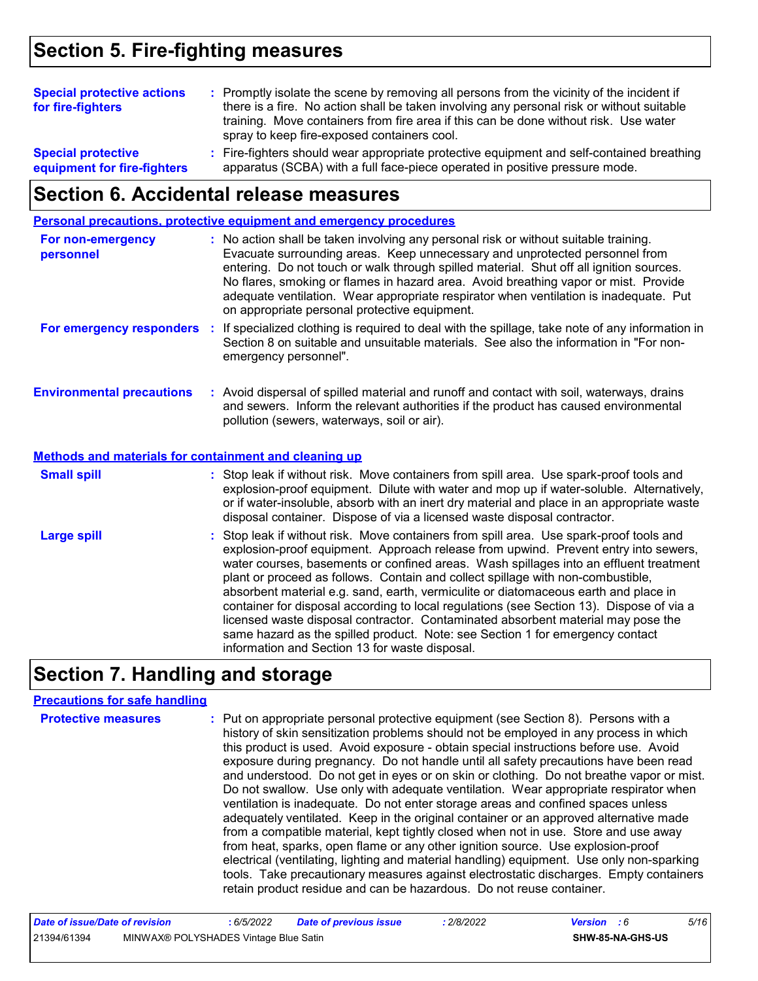# **Section 5. Fire-fighting measures**

| <b>Special protective actions</b><br>for fire-fighters   | : Promptly isolate the scene by removing all persons from the vicinity of the incident if<br>there is a fire. No action shall be taken involving any personal risk or without suitable<br>training. Move containers from fire area if this can be done without risk. Use water<br>spray to keep fire-exposed containers cool. |
|----------------------------------------------------------|-------------------------------------------------------------------------------------------------------------------------------------------------------------------------------------------------------------------------------------------------------------------------------------------------------------------------------|
| <b>Special protective</b><br>equipment for fire-fighters | : Fire-fighters should wear appropriate protective equipment and self-contained breathing<br>apparatus (SCBA) with a full face-piece operated in positive pressure mode.                                                                                                                                                      |

# **Section 6. Accidental release measures**

|                                                              | Personal precautions, protective equipment and emergency procedures                                                                                                                                                                                                                                                                                                                                                                                                                                                                                                                                                                                                                                                                                                  |
|--------------------------------------------------------------|----------------------------------------------------------------------------------------------------------------------------------------------------------------------------------------------------------------------------------------------------------------------------------------------------------------------------------------------------------------------------------------------------------------------------------------------------------------------------------------------------------------------------------------------------------------------------------------------------------------------------------------------------------------------------------------------------------------------------------------------------------------------|
| For non-emergency<br>personnel                               | : No action shall be taken involving any personal risk or without suitable training.<br>Evacuate surrounding areas. Keep unnecessary and unprotected personnel from<br>entering. Do not touch or walk through spilled material. Shut off all ignition sources.<br>No flares, smoking or flames in hazard area. Avoid breathing vapor or mist. Provide<br>adequate ventilation. Wear appropriate respirator when ventilation is inadequate. Put<br>on appropriate personal protective equipment.                                                                                                                                                                                                                                                                      |
|                                                              | For emergency responders : If specialized clothing is required to deal with the spillage, take note of any information in<br>Section 8 on suitable and unsuitable materials. See also the information in "For non-<br>emergency personnel".                                                                                                                                                                                                                                                                                                                                                                                                                                                                                                                          |
| <b>Environmental precautions</b>                             | : Avoid dispersal of spilled material and runoff and contact with soil, waterways, drains<br>and sewers. Inform the relevant authorities if the product has caused environmental<br>pollution (sewers, waterways, soil or air).                                                                                                                                                                                                                                                                                                                                                                                                                                                                                                                                      |
| <b>Methods and materials for containment and cleaning up</b> |                                                                                                                                                                                                                                                                                                                                                                                                                                                                                                                                                                                                                                                                                                                                                                      |
| <b>Small spill</b>                                           | : Stop leak if without risk. Move containers from spill area. Use spark-proof tools and<br>explosion-proof equipment. Dilute with water and mop up if water-soluble. Alternatively,<br>or if water-insoluble, absorb with an inert dry material and place in an appropriate waste<br>disposal container. Dispose of via a licensed waste disposal contractor.                                                                                                                                                                                                                                                                                                                                                                                                        |
| <b>Large spill</b>                                           | : Stop leak if without risk. Move containers from spill area. Use spark-proof tools and<br>explosion-proof equipment. Approach release from upwind. Prevent entry into sewers,<br>water courses, basements or confined areas. Wash spillages into an effluent treatment<br>plant or proceed as follows. Contain and collect spillage with non-combustible,<br>absorbent material e.g. sand, earth, vermiculite or diatomaceous earth and place in<br>container for disposal according to local regulations (see Section 13). Dispose of via a<br>licensed waste disposal contractor. Contaminated absorbent material may pose the<br>same hazard as the spilled product. Note: see Section 1 for emergency contact<br>information and Section 13 for waste disposal. |

# **Section 7. Handling and storage**

### **Precautions for safe handling**

| <b>Protective measures</b> | : Put on appropriate personal protective equipment (see Section 8). Persons with a<br>history of skin sensitization problems should not be employed in any process in which<br>this product is used. Avoid exposure - obtain special instructions before use. Avoid<br>exposure during pregnancy. Do not handle until all safety precautions have been read<br>and understood. Do not get in eyes or on skin or clothing. Do not breathe vapor or mist.<br>Do not swallow. Use only with adequate ventilation. Wear appropriate respirator when<br>ventilation is inadequate. Do not enter storage areas and confined spaces unless<br>adequately ventilated. Keep in the original container or an approved alternative made<br>from a compatible material, kept tightly closed when not in use. Store and use away<br>from heat, sparks, open flame or any other ignition source. Use explosion-proof<br>electrical (ventilating, lighting and material handling) equipment. Use only non-sparking |
|----------------------------|-----------------------------------------------------------------------------------------------------------------------------------------------------------------------------------------------------------------------------------------------------------------------------------------------------------------------------------------------------------------------------------------------------------------------------------------------------------------------------------------------------------------------------------------------------------------------------------------------------------------------------------------------------------------------------------------------------------------------------------------------------------------------------------------------------------------------------------------------------------------------------------------------------------------------------------------------------------------------------------------------------|
|                            | tools. Take precautionary measures against electrostatic discharges. Empty containers<br>retain product residue and can be hazardous. Do not reuse container.                                                                                                                                                                                                                                                                                                                                                                                                                                                                                                                                                                                                                                                                                                                                                                                                                                       |

| Date of issue/Date of revision |                                       | 6/5/2022 | Date of previous issue | 2/8/2022 | <b>Version</b> : 6 |                  | 5/16 |
|--------------------------------|---------------------------------------|----------|------------------------|----------|--------------------|------------------|------|
| 21394/61394                    | MINWAX® POLYSHADES Vintage Blue Satin |          |                        |          |                    | SHW-85-NA-GHS-US |      |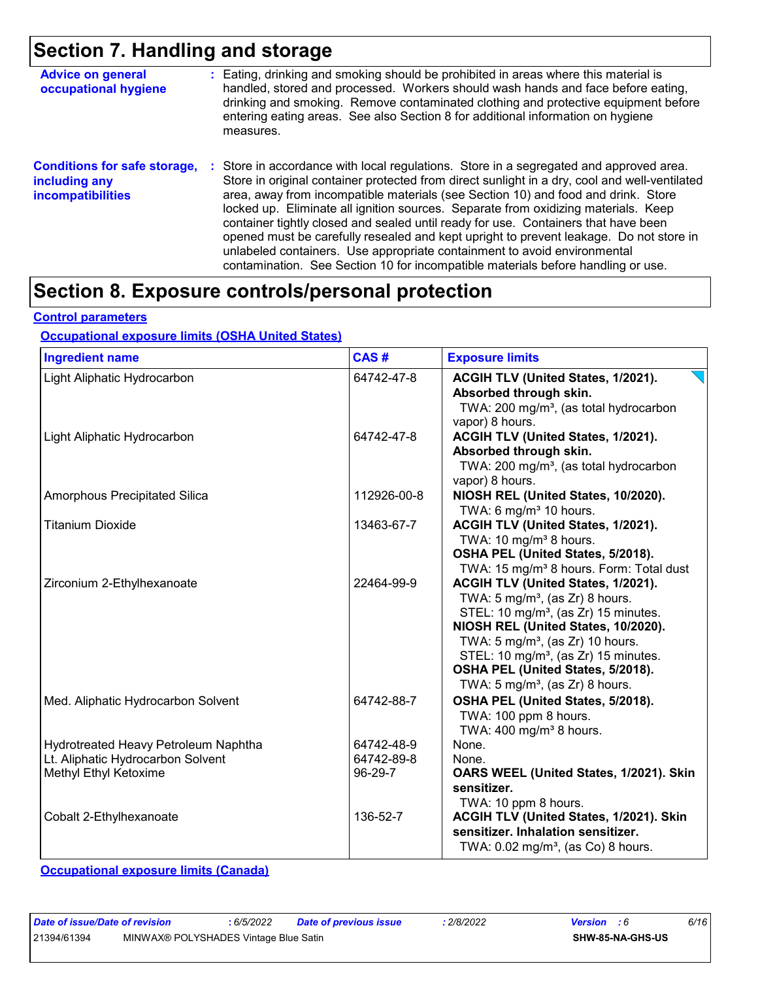### **Section 7. Handling and storage**

| <b>Advice on general</b><br>occupational hygiene                                 | : Eating, drinking and smoking should be prohibited in areas where this material is<br>handled, stored and processed. Workers should wash hands and face before eating,<br>drinking and smoking. Remove contaminated clothing and protective equipment before<br>entering eating areas. See also Section 8 for additional information on hygiene<br>measures.                                                                                                                                                                                                                                                                                                                                                      |
|----------------------------------------------------------------------------------|--------------------------------------------------------------------------------------------------------------------------------------------------------------------------------------------------------------------------------------------------------------------------------------------------------------------------------------------------------------------------------------------------------------------------------------------------------------------------------------------------------------------------------------------------------------------------------------------------------------------------------------------------------------------------------------------------------------------|
| <b>Conditions for safe storage,</b><br>including any<br><b>incompatibilities</b> | : Store in accordance with local regulations. Store in a segregated and approved area.<br>Store in original container protected from direct sunlight in a dry, cool and well-ventilated<br>area, away from incompatible materials (see Section 10) and food and drink. Store<br>locked up. Eliminate all ignition sources. Separate from oxidizing materials. Keep<br>container tightly closed and sealed until ready for use. Containers that have been<br>opened must be carefully resealed and kept upright to prevent leakage. Do not store in<br>unlabeled containers. Use appropriate containment to avoid environmental<br>contamination. See Section 10 for incompatible materials before handling or use. |

# **Section 8. Exposure controls/personal protection**

#### **Control parameters**

#### **Occupational exposure limits (OSHA United States)**

| <b>Ingredient name</b>                                                                             | CAS#                                | <b>Exposure limits</b>                                                                                                                                                                                                                                                                                                                                             |  |  |  |
|----------------------------------------------------------------------------------------------------|-------------------------------------|--------------------------------------------------------------------------------------------------------------------------------------------------------------------------------------------------------------------------------------------------------------------------------------------------------------------------------------------------------------------|--|--|--|
| Light Aliphatic Hydrocarbon                                                                        | 64742-47-8                          | ACGIH TLV (United States, 1/2021).<br>Absorbed through skin.<br>TWA: 200 mg/m <sup>3</sup> , (as total hydrocarbon<br>vapor) 8 hours.                                                                                                                                                                                                                              |  |  |  |
| Light Aliphatic Hydrocarbon                                                                        | 64742-47-8                          | ACGIH TLV (United States, 1/2021).<br>Absorbed through skin.<br>TWA: 200 mg/m <sup>3</sup> , (as total hydrocarbon<br>vapor) 8 hours.                                                                                                                                                                                                                              |  |  |  |
| Amorphous Precipitated Silica                                                                      | 112926-00-8                         | NIOSH REL (United States, 10/2020).<br>TWA: 6 mg/m $3$ 10 hours.                                                                                                                                                                                                                                                                                                   |  |  |  |
| <b>Titanium Dioxide</b>                                                                            | 13463-67-7                          | ACGIH TLV (United States, 1/2021).<br>TWA: 10 mg/m <sup>3</sup> 8 hours.<br>OSHA PEL (United States, 5/2018).<br>TWA: 15 mg/m <sup>3</sup> 8 hours. Form: Total dust                                                                                                                                                                                               |  |  |  |
| Zirconium 2-Ethylhexanoate                                                                         | 22464-99-9                          | ACGIH TLV (United States, 1/2021).<br>TWA: $5 \text{ mg/m}^3$ , (as Zr) 8 hours.<br>STEL: 10 mg/m <sup>3</sup> , (as Zr) 15 minutes.<br>NIOSH REL (United States, 10/2020).<br>TWA: $5 \text{ mg/m}^3$ , (as Zr) 10 hours.<br>STEL: 10 mg/m <sup>3</sup> , (as Zr) 15 minutes.<br>OSHA PEL (United States, 5/2018).<br>TWA: 5 mg/m <sup>3</sup> , (as Zr) 8 hours. |  |  |  |
| Med. Aliphatic Hydrocarbon Solvent                                                                 | 64742-88-7                          | OSHA PEL (United States, 5/2018).<br>TWA: 100 ppm 8 hours.<br>TWA: 400 mg/m <sup>3</sup> 8 hours.                                                                                                                                                                                                                                                                  |  |  |  |
| Hydrotreated Heavy Petroleum Naphtha<br>Lt. Aliphatic Hydrocarbon Solvent<br>Methyl Ethyl Ketoxime | 64742-48-9<br>64742-89-8<br>96-29-7 | None.<br>None.<br>OARS WEEL (United States, 1/2021). Skin<br>sensitizer.<br>TWA: 10 ppm 8 hours.                                                                                                                                                                                                                                                                   |  |  |  |
| Cobalt 2-Ethylhexanoate                                                                            | 136-52-7                            | ACGIH TLV (United States, 1/2021). Skin<br>sensitizer. Inhalation sensitizer.<br>TWA: $0.02$ mg/m <sup>3</sup> , (as Co) 8 hours.                                                                                                                                                                                                                                  |  |  |  |

**Occupational exposure limits (Canada)**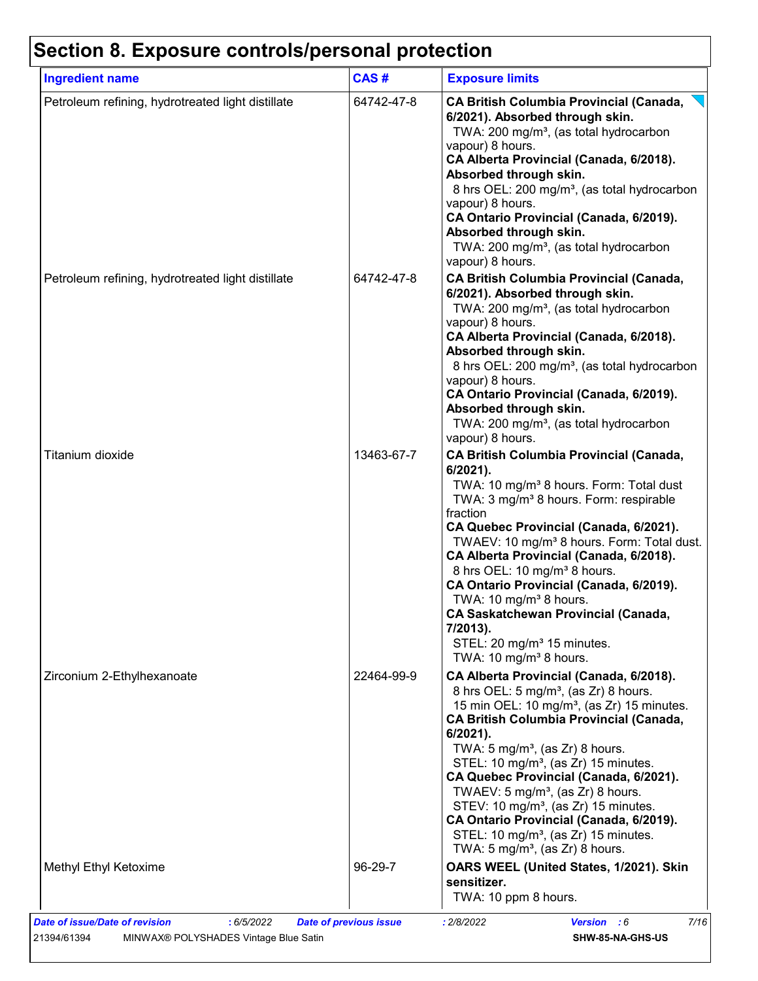# **Section 8. Exposure controls/personal protection**

| <b>Ingredient name</b>                            | CAS#       | <b>Exposure limits</b>                                                                                                                                                                                                                                                                                                                                                                                                                                                                                                                                                                                                 |
|---------------------------------------------------|------------|------------------------------------------------------------------------------------------------------------------------------------------------------------------------------------------------------------------------------------------------------------------------------------------------------------------------------------------------------------------------------------------------------------------------------------------------------------------------------------------------------------------------------------------------------------------------------------------------------------------------|
| Petroleum refining, hydrotreated light distillate | 64742-47-8 | <b>CA British Columbia Provincial (Canada,</b><br>6/2021). Absorbed through skin.<br>TWA: 200 mg/m <sup>3</sup> , (as total hydrocarbon<br>vapour) 8 hours.<br>CA Alberta Provincial (Canada, 6/2018).<br>Absorbed through skin.<br>8 hrs OEL: 200 mg/m <sup>3</sup> , (as total hydrocarbon<br>vapour) 8 hours.<br>CA Ontario Provincial (Canada, 6/2019).<br>Absorbed through skin.<br>TWA: 200 mg/m <sup>3</sup> , (as total hydrocarbon<br>vapour) 8 hours.                                                                                                                                                        |
| Petroleum refining, hydrotreated light distillate | 64742-47-8 | <b>CA British Columbia Provincial (Canada,</b><br>6/2021). Absorbed through skin.<br>TWA: 200 mg/m <sup>3</sup> , (as total hydrocarbon<br>vapour) 8 hours.<br>CA Alberta Provincial (Canada, 6/2018).<br>Absorbed through skin.<br>8 hrs OEL: 200 mg/m <sup>3</sup> , (as total hydrocarbon<br>vapour) 8 hours.<br>CA Ontario Provincial (Canada, 6/2019).<br>Absorbed through skin.<br>TWA: 200 mg/m <sup>3</sup> , (as total hydrocarbon<br>vapour) 8 hours.                                                                                                                                                        |
| Titanium dioxide                                  | 13463-67-7 | <b>CA British Columbia Provincial (Canada,</b><br>$6/2021$ ).<br>TWA: 10 mg/m <sup>3</sup> 8 hours. Form: Total dust<br>TWA: 3 mg/m <sup>3</sup> 8 hours. Form: respirable<br>fraction<br>CA Quebec Provincial (Canada, 6/2021).<br>TWAEV: 10 mg/m <sup>3</sup> 8 hours. Form: Total dust.<br>CA Alberta Provincial (Canada, 6/2018).<br>8 hrs OEL: 10 mg/m <sup>3</sup> 8 hours.<br>CA Ontario Provincial (Canada, 6/2019).<br>TWA: 10 mg/m <sup>3</sup> 8 hours.<br><b>CA Saskatchewan Provincial (Canada,</b><br>7/2013).<br>STEL: 20 mg/m <sup>3</sup> 15 minutes.<br>TWA: 10 mg/m <sup>3</sup> 8 hours.           |
| Zirconium 2-Ethylhexanoate                        | 22464-99-9 | CA Alberta Provincial (Canada, 6/2018).<br>8 hrs OEL: 5 mg/m <sup>3</sup> , (as Zr) 8 hours.<br>15 min OEL: 10 mg/m <sup>3</sup> , (as Zr) 15 minutes.<br><b>CA British Columbia Provincial (Canada,</b><br>6/2021).<br>TWA: $5 \text{ mg/m}^3$ , (as Zr) 8 hours.<br>STEL: 10 mg/m <sup>3</sup> , (as Zr) 15 minutes.<br>CA Quebec Provincial (Canada, 6/2021).<br>TWAEV: 5 mg/m <sup>3</sup> , (as Zr) 8 hours.<br>STEV: 10 mg/m <sup>3</sup> , (as Zr) 15 minutes.<br>CA Ontario Provincial (Canada, 6/2019).<br>STEL: 10 mg/m <sup>3</sup> , (as Zr) 15 minutes.<br>TWA: 5 mg/m <sup>3</sup> , (as $Zr$ ) 8 hours. |
| Methyl Ethyl Ketoxime                             | 96-29-7    | OARS WEEL (United States, 1/2021). Skin<br>sensitizer.<br>TWA: 10 ppm 8 hours.                                                                                                                                                                                                                                                                                                                                                                                                                                                                                                                                         |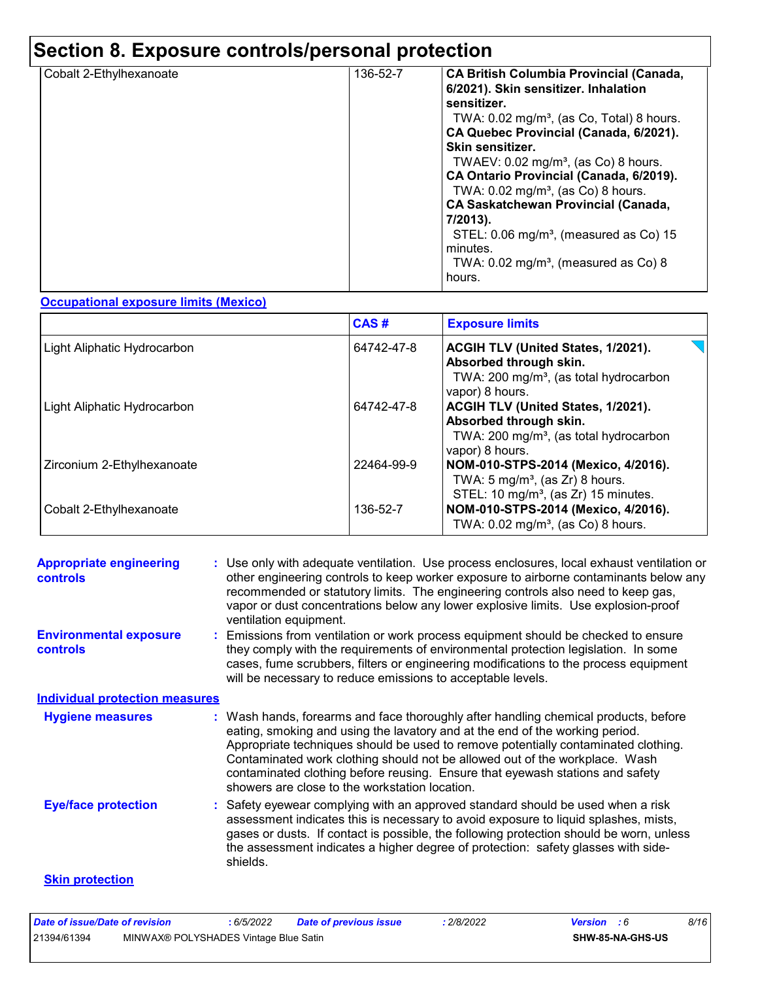# **Section 8. Exposure controls/personal protection**

| Cobalt 2-Ethylhexanoate | 136-52-7 | <b>CA British Columbia Provincial (Canada,</b><br>6/2021). Skin sensitizer. Inhalation<br>sensitizer.<br>TWA: $0.02 \text{ mg/m}^3$ , (as Co, Total) 8 hours.<br>CA Quebec Provincial (Canada, 6/2021).<br>Skin sensitizer.<br>TWAEV: $0.02$ mg/m <sup>3</sup> , (as Co) 8 hours.<br>CA Ontario Provincial (Canada, 6/2019).<br>TWA: 0.02 mg/m <sup>3</sup> , (as Co) 8 hours.<br><b>CA Saskatchewan Provincial (Canada,</b><br>7/2013).<br>STEL: 0.06 mg/m <sup>3</sup> , (measured as Co) 15<br>minutes.<br>TWA: $0.02 \text{ mg/m}^3$ , (measured as Co) 8 |
|-------------------------|----------|---------------------------------------------------------------------------------------------------------------------------------------------------------------------------------------------------------------------------------------------------------------------------------------------------------------------------------------------------------------------------------------------------------------------------------------------------------------------------------------------------------------------------------------------------------------|
|                         |          | hours.                                                                                                                                                                                                                                                                                                                                                                                                                                                                                                                                                        |

#### **Occupational exposure limits (Mexico)**

|                             | CAS#       | <b>Exposure limits</b>                                                                                                                |
|-----------------------------|------------|---------------------------------------------------------------------------------------------------------------------------------------|
| Light Aliphatic Hydrocarbon | 64742-47-8 | ACGIH TLV (United States, 1/2021).<br>Absorbed through skin.<br>TWA: 200 mg/m <sup>3</sup> , (as total hydrocarbon<br>vapor) 8 hours. |
| Light Aliphatic Hydrocarbon | 64742-47-8 | ACGIH TLV (United States, 1/2021).<br>Absorbed through skin.<br>TWA: 200 mg/m <sup>3</sup> , (as total hydrocarbon<br>vapor) 8 hours. |
| Zirconium 2-Ethylhexanoate  | 22464-99-9 | NOM-010-STPS-2014 (Mexico, 4/2016).<br>TWA: $5 \text{ mg/m}^3$ , (as Zr) 8 hours.<br>STEL: 10 mg/m <sup>3</sup> , (as Zr) 15 minutes. |
| Cobalt 2-Ethylhexanoate     | 136-52-7   | NOM-010-STPS-2014 (Mexico, 4/2016).<br>TWA: 0.02 mg/m <sup>3</sup> , (as Co) 8 hours.                                                 |

| <b>Appropriate engineering</b><br><b>controls</b> | : Use only with adequate ventilation. Use process enclosures, local exhaust ventilation or<br>other engineering controls to keep worker exposure to airborne contaminants below any<br>recommended or statutory limits. The engineering controls also need to keep gas,<br>vapor or dust concentrations below any lower explosive limits. Use explosion-proof<br>ventilation equipment.                                                                                     |
|---------------------------------------------------|-----------------------------------------------------------------------------------------------------------------------------------------------------------------------------------------------------------------------------------------------------------------------------------------------------------------------------------------------------------------------------------------------------------------------------------------------------------------------------|
| <b>Environmental exposure</b><br><b>controls</b>  | Emissions from ventilation or work process equipment should be checked to ensure<br>they comply with the requirements of environmental protection legislation. In some<br>cases, fume scrubbers, filters or engineering modifications to the process equipment<br>will be necessary to reduce emissions to acceptable levels.                                                                                                                                               |
| <b>Individual protection measures</b>             |                                                                                                                                                                                                                                                                                                                                                                                                                                                                             |
| <b>Hygiene measures</b>                           | : Wash hands, forearms and face thoroughly after handling chemical products, before<br>eating, smoking and using the lavatory and at the end of the working period.<br>Appropriate techniques should be used to remove potentially contaminated clothing.<br>Contaminated work clothing should not be allowed out of the workplace. Wash<br>contaminated clothing before reusing. Ensure that eyewash stations and safety<br>showers are close to the workstation location. |
| <b>Eye/face protection</b>                        | : Safety eyewear complying with an approved standard should be used when a risk<br>assessment indicates this is necessary to avoid exposure to liquid splashes, mists,<br>gases or dusts. If contact is possible, the following protection should be worn, unless<br>the assessment indicates a higher degree of protection: safety glasses with side-<br>shields.                                                                                                          |
| <b>Skin protection</b>                            |                                                                                                                                                                                                                                                                                                                                                                                                                                                                             |

| Date of issue/Date of revision |                                       | : 6/5/2022 | <b>Date of previous issue</b> | 2/8/2022 | <b>Version</b> : 6 |                         | 8/16 |
|--------------------------------|---------------------------------------|------------|-------------------------------|----------|--------------------|-------------------------|------|
| 21394/61394                    | MINWAX® POLYSHADES Vintage Blue Satin |            |                               |          |                    | <b>SHW-85-NA-GHS-US</b> |      |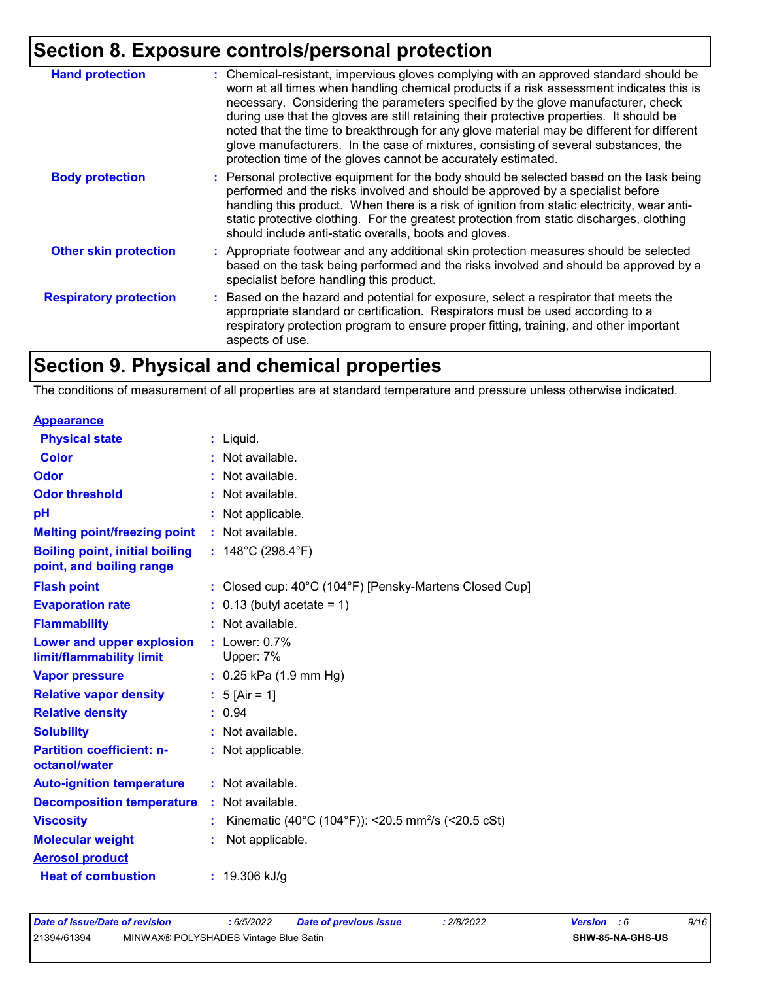# **Section 8. Exposure controls/personal protection**

| <b>Hand protection</b>        | : Chemical-resistant, impervious gloves complying with an approved standard should be<br>worn at all times when handling chemical products if a risk assessment indicates this is<br>necessary. Considering the parameters specified by the glove manufacturer, check<br>during use that the gloves are still retaining their protective properties. It should be<br>noted that the time to breakthrough for any glove material may be different for different<br>glove manufacturers. In the case of mixtures, consisting of several substances, the<br>protection time of the gloves cannot be accurately estimated. |
|-------------------------------|------------------------------------------------------------------------------------------------------------------------------------------------------------------------------------------------------------------------------------------------------------------------------------------------------------------------------------------------------------------------------------------------------------------------------------------------------------------------------------------------------------------------------------------------------------------------------------------------------------------------|
| <b>Body protection</b>        | : Personal protective equipment for the body should be selected based on the task being<br>performed and the risks involved and should be approved by a specialist before<br>handling this product. When there is a risk of ignition from static electricity, wear anti-<br>static protective clothing. For the greatest protection from static discharges, clothing<br>should include anti-static overalls, boots and gloves.                                                                                                                                                                                         |
| <b>Other skin protection</b>  | : Appropriate footwear and any additional skin protection measures should be selected<br>based on the task being performed and the risks involved and should be approved by a<br>specialist before handling this product.                                                                                                                                                                                                                                                                                                                                                                                              |
| <b>Respiratory protection</b> | : Based on the hazard and potential for exposure, select a respirator that meets the<br>appropriate standard or certification. Respirators must be used according to a<br>respiratory protection program to ensure proper fitting, training, and other important<br>aspects of use.                                                                                                                                                                                                                                                                                                                                    |

# **Section 9. Physical and chemical properties**

The conditions of measurement of all properties are at standard temperature and pressure unless otherwise indicated.

| <b>Appearance</b>                                                 |                                                                |
|-------------------------------------------------------------------|----------------------------------------------------------------|
| <b>Physical state</b>                                             | $:$ Liquid.                                                    |
| <b>Color</b>                                                      | : Not available.                                               |
| Odor                                                              | : Not available.                                               |
| <b>Odor threshold</b>                                             | : Not available.                                               |
| рH                                                                | : Not applicable.                                              |
| <b>Melting point/freezing point</b>                               | : Not available.                                               |
| <b>Boiling point, initial boiling</b><br>point, and boiling range | : $148^{\circ}$ C (298.4 $^{\circ}$ F)                         |
| <b>Flash point</b>                                                | : Closed cup: 40°C (104°F) [Pensky-Martens Closed Cup]         |
| <b>Evaporation rate</b>                                           | $\therefore$ 0.13 (butyl acetate = 1)                          |
| <b>Flammability</b>                                               | : Not available.                                               |
| Lower and upper explosion<br>limit/flammability limit             | $:$ Lower: 0.7%<br>Upper: 7%                                   |
| <b>Vapor pressure</b>                                             | : 0.25 kPa (1.9 mm Hg)                                         |
| <b>Relative vapor density</b>                                     | : $5$ [Air = 1]                                                |
| <b>Relative density</b>                                           | : 0.94                                                         |
| <b>Solubility</b>                                                 | : Not available.                                               |
| <b>Partition coefficient: n-</b><br>octanol/water                 | : Not applicable.                                              |
| <b>Auto-ignition temperature</b>                                  | $:$ Not available.                                             |
| <b>Decomposition temperature</b>                                  | : Not available.                                               |
| <b>Viscosity</b>                                                  | Kinematic (40°C (104°F)): <20.5 mm <sup>2</sup> /s (<20.5 cSt) |
| <b>Molecular weight</b>                                           | Not applicable.                                                |
| <b>Aerosol product</b>                                            |                                                                |
| <b>Heat of combustion</b>                                         | : $19.306$ kJ/g                                                |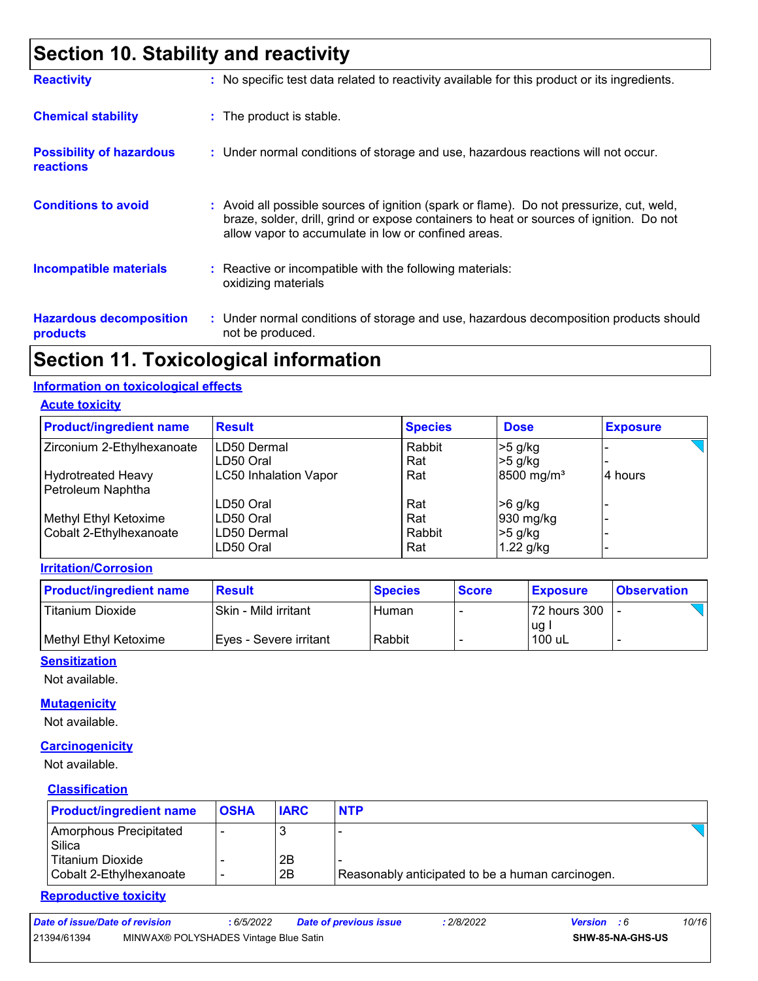# **Section 10. Stability and reactivity**

| <b>Reactivity</b>                                   | : No specific test data related to reactivity available for this product or its ingredients.                                                                                                                                               |
|-----------------------------------------------------|--------------------------------------------------------------------------------------------------------------------------------------------------------------------------------------------------------------------------------------------|
| <b>Chemical stability</b>                           | : The product is stable.                                                                                                                                                                                                                   |
| <b>Possibility of hazardous</b><br><b>reactions</b> | : Under normal conditions of storage and use, hazardous reactions will not occur.                                                                                                                                                          |
| <b>Conditions to avoid</b>                          | : Avoid all possible sources of ignition (spark or flame). Do not pressurize, cut, weld,<br>braze, solder, drill, grind or expose containers to heat or sources of ignition. Do not<br>allow vapor to accumulate in low or confined areas. |
| <b>Incompatible materials</b>                       | $\therefore$ Reactive or incompatible with the following materials:<br>oxidizing materials                                                                                                                                                 |
| <b>Hazardous decomposition</b><br>products          | : Under normal conditions of storage and use, hazardous decomposition products should<br>not be produced.                                                                                                                                  |

### **Section 11. Toxicological information**

#### **Information on toxicological effects**

**Acute toxicity**

| <b>Product/ingredient name</b> | <b>Result</b>                | <b>Species</b> | <b>Dose</b>            | <b>Exposure</b> |
|--------------------------------|------------------------------|----------------|------------------------|-----------------|
| Zirconium 2-Ethylhexanoate     | LD50 Dermal                  | Rabbit         | $>5$ g/kg              |                 |
|                                | LD50 Oral                    | Rat            | $>5$ g/kg              |                 |
| <b>Hydrotreated Heavy</b>      | <b>LC50 Inhalation Vapor</b> | Rat            | 8500 mg/m <sup>3</sup> | 4 hours         |
| Petroleum Naphtha              |                              |                |                        |                 |
|                                | LD50 Oral                    | Rat            | $>6$ g/kg              |                 |
| Methyl Ethyl Ketoxime          | LD50 Oral                    | Rat            | 930 mg/kg              |                 |
| Cobalt 2-Ethylhexanoate        | LD50 Dermal                  | Rabbit         | $>5$ g/kg              |                 |
|                                | LD50 Oral                    | Rat            | $1.22$ g/kg            |                 |

#### **Irritation/Corrosion**

| <b>Product/ingredient name</b> | <b>Result</b>            | <b>Species</b> | <b>Score</b> | <b>Exposure</b> | <b>Observation</b> |
|--------------------------------|--------------------------|----------------|--------------|-----------------|--------------------|
| Titanium Dioxide               | ISkin - Mild irritant    | Human          |              | 72 hours 300    |                    |
| Methyl Ethyl Ketoxime          | I Eves - Severe irritant | Rabbit         |              | ug.<br>100 uL   |                    |

#### **Sensitization**

Not available.

#### **Mutagenicity**

Not available.

#### **Carcinogenicity**

Not available.

#### **Classification**

| <b>Product/ingredient name</b>              | <b>OSHA</b> | <b>IARC</b> | <b>NTP</b>                                       |
|---------------------------------------------|-------------|-------------|--------------------------------------------------|
| Amorphous Precipitated<br>Silica            |             |             |                                                  |
| Titanium Dioxide<br>Cobalt 2-Ethylhexanoate |             | 2Β<br>2B    | Reasonably anticipated to be a human carcinogen. |

#### **Reproductive toxicity**

| Date of issue/Date of revision<br>6/5/2022 | <b>Date of previous issue</b> | 2/8/2022 | <b>Version</b> |  | 10/16 |
|--------------------------------------------|-------------------------------|----------|----------------|--|-------|
|--------------------------------------------|-------------------------------|----------|----------------|--|-------|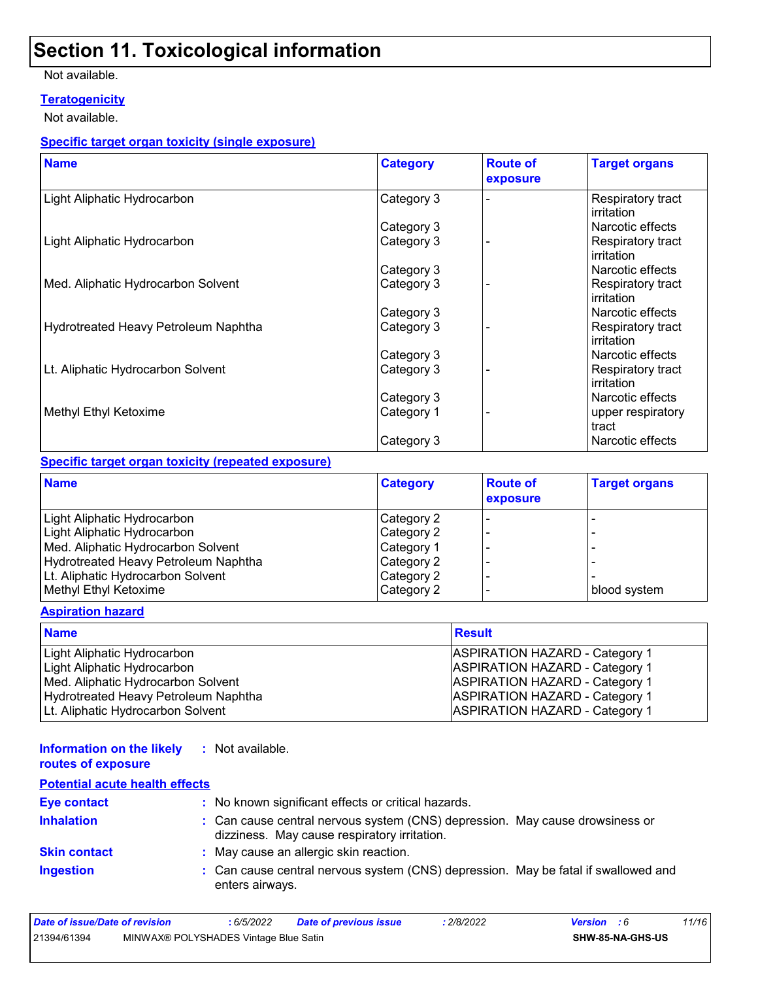# **Section 11. Toxicological information**

Not available.

#### **Teratogenicity**

Not available.

#### **Specific target organ toxicity (single exposure)**

| <b>Name</b>                          | <b>Category</b> | <b>Route of</b><br>exposure | <b>Target organs</b>            |
|--------------------------------------|-----------------|-----------------------------|---------------------------------|
| Light Aliphatic Hydrocarbon          | Category 3      |                             | Respiratory tract<br>irritation |
|                                      | Category 3      |                             | Narcotic effects                |
| Light Aliphatic Hydrocarbon          | Category 3      |                             | Respiratory tract<br>irritation |
|                                      | Category 3      |                             | Narcotic effects                |
| Med. Aliphatic Hydrocarbon Solvent   | Category 3      |                             | Respiratory tract<br>irritation |
|                                      | Category 3      |                             | Narcotic effects                |
| Hydrotreated Heavy Petroleum Naphtha | Category 3      |                             | Respiratory tract<br>irritation |
|                                      | Category 3      |                             | Narcotic effects                |
| Lt. Aliphatic Hydrocarbon Solvent    | Category 3      |                             | Respiratory tract<br>irritation |
|                                      | Category 3      |                             | Narcotic effects                |
| Methyl Ethyl Ketoxime                | Category 1      |                             | upper respiratory<br>tract      |
|                                      | Category 3      |                             | Narcotic effects                |

#### **Specific target organ toxicity (repeated exposure)**

| <b>Name</b>                          | <b>Category</b> | <b>Route of</b><br>exposure | <b>Target organs</b> |
|--------------------------------------|-----------------|-----------------------------|----------------------|
| Light Aliphatic Hydrocarbon          | Category 2      |                             |                      |
| Light Aliphatic Hydrocarbon          | Category 2      |                             |                      |
| Med. Aliphatic Hydrocarbon Solvent   | Category 1      |                             |                      |
| Hydrotreated Heavy Petroleum Naphtha | Category 2      |                             |                      |
| Lt. Aliphatic Hydrocarbon Solvent    | Category 2      |                             |                      |
| Methyl Ethyl Ketoxime                | Category 2      |                             | blood system         |

#### **Aspiration hazard**

| <b>Name</b>                          | <b>Result</b>                         |
|--------------------------------------|---------------------------------------|
| Light Aliphatic Hydrocarbon          | <b>ASPIRATION HAZARD - Category 1</b> |
| Light Aliphatic Hydrocarbon          | <b>ASPIRATION HAZARD - Category 1</b> |
| Med. Aliphatic Hydrocarbon Solvent   | <b>ASPIRATION HAZARD - Category 1</b> |
| Hydrotreated Heavy Petroleum Naphtha | <b>ASPIRATION HAZARD - Category 1</b> |
| Lt. Aliphatic Hydrocarbon Solvent    | <b>ASPIRATION HAZARD - Category 1</b> |

#### **Information on the likely routes of exposure :** Not available.

| <b>Potential acute health effects</b> |                                                                                                                              |
|---------------------------------------|------------------------------------------------------------------------------------------------------------------------------|
| <b>Eye contact</b>                    | : No known significant effects or critical hazards.                                                                          |
| <b>Inhalation</b>                     | : Can cause central nervous system (CNS) depression. May cause drowsiness or<br>dizziness. May cause respiratory irritation. |
| <b>Skin contact</b>                   | : May cause an allergic skin reaction.                                                                                       |
| <b>Ingestion</b>                      | : Can cause central nervous system (CNS) depression. May be fatal if swallowed and<br>enters airways.                        |

| Date of issue/Date of revision |                                       | 6/5/2022 | <b>Date of previous issue</b> | 2/8/2022 | <b>Version</b> : 6 | 11/16 |
|--------------------------------|---------------------------------------|----------|-------------------------------|----------|--------------------|-------|
| 21394/61394                    | MINWAX® POLYSHADES Vintage Blue Satin |          |                               |          | SHW-85-NA-GHS-US   |       |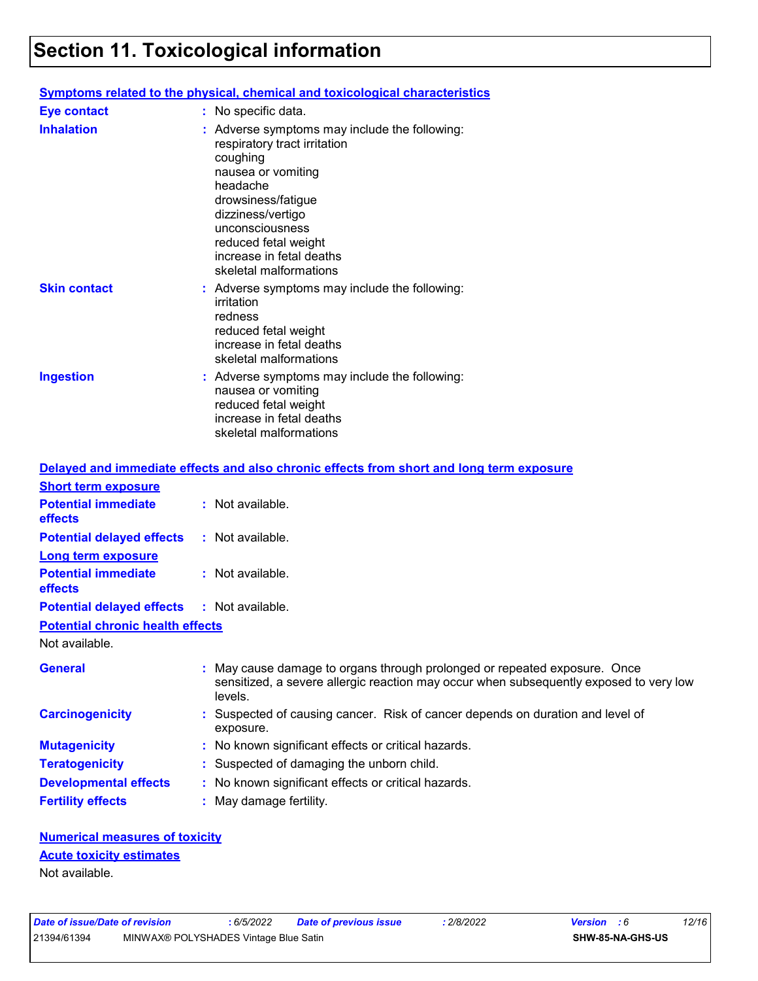# **Section 11. Toxicological information**

|                     | <u>Symptoms related to the physical, chemical and toxicological characteristics</u>                                                                                                                                                                                       |
|---------------------|---------------------------------------------------------------------------------------------------------------------------------------------------------------------------------------------------------------------------------------------------------------------------|
| <b>Eye contact</b>  | : No specific data.                                                                                                                                                                                                                                                       |
| <b>Inhalation</b>   | $:$ Adverse symptoms may include the following:<br>respiratory tract irritation<br>coughing<br>nausea or vomiting<br>headache<br>drowsiness/fatigue<br>dizziness/vertigo<br>unconsciousness<br>reduced fetal weight<br>increase in fetal deaths<br>skeletal malformations |
| <b>Skin contact</b> | $:$ Adverse symptoms may include the following:<br>irritation<br>redness<br>reduced fetal weight<br>increase in fetal deaths<br>skeletal malformations                                                                                                                    |
| <b>Ingestion</b>    | : Adverse symptoms may include the following:<br>nausea or vomiting<br>reduced fetal weight<br>increase in fetal deaths<br>skeletal malformations                                                                                                                         |

|                                                   | Delayed and immediate effects and also chronic effects from short and long term exposure                                                                                       |  |
|---------------------------------------------------|--------------------------------------------------------------------------------------------------------------------------------------------------------------------------------|--|
| <b>Short term exposure</b>                        |                                                                                                                                                                                |  |
| <b>Potential immediate</b><br>effects             | $:$ Not available.                                                                                                                                                             |  |
| <b>Potential delayed effects</b>                  | : Not available.                                                                                                                                                               |  |
| Long term exposure                                |                                                                                                                                                                                |  |
| <b>Potential immediate</b><br>effects             | $:$ Not available.                                                                                                                                                             |  |
| <b>Potential delayed effects : Not available.</b> |                                                                                                                                                                                |  |
| <b>Potential chronic health effects</b>           |                                                                                                                                                                                |  |
| Not available.                                    |                                                                                                                                                                                |  |
| General                                           | : May cause damage to organs through prolonged or repeated exposure. Once<br>sensitized, a severe allergic reaction may occur when subsequently exposed to very low<br>levels. |  |
| <b>Carcinogenicity</b>                            | : Suspected of causing cancer. Risk of cancer depends on duration and level of<br>exposure.                                                                                    |  |
| <b>Mutagenicity</b>                               | : No known significant effects or critical hazards.                                                                                                                            |  |
| <b>Teratogenicity</b>                             | : Suspected of damaging the unborn child.                                                                                                                                      |  |
| <b>Developmental effects</b>                      | : No known significant effects or critical hazards.                                                                                                                            |  |
| <b>Fertility effects</b>                          | : May damage fertility.                                                                                                                                                        |  |

| <b>Numerical measures of toxicity</b> |  |
|---------------------------------------|--|
| <b>Acute toxicity estimates</b>       |  |
| Not available.                        |  |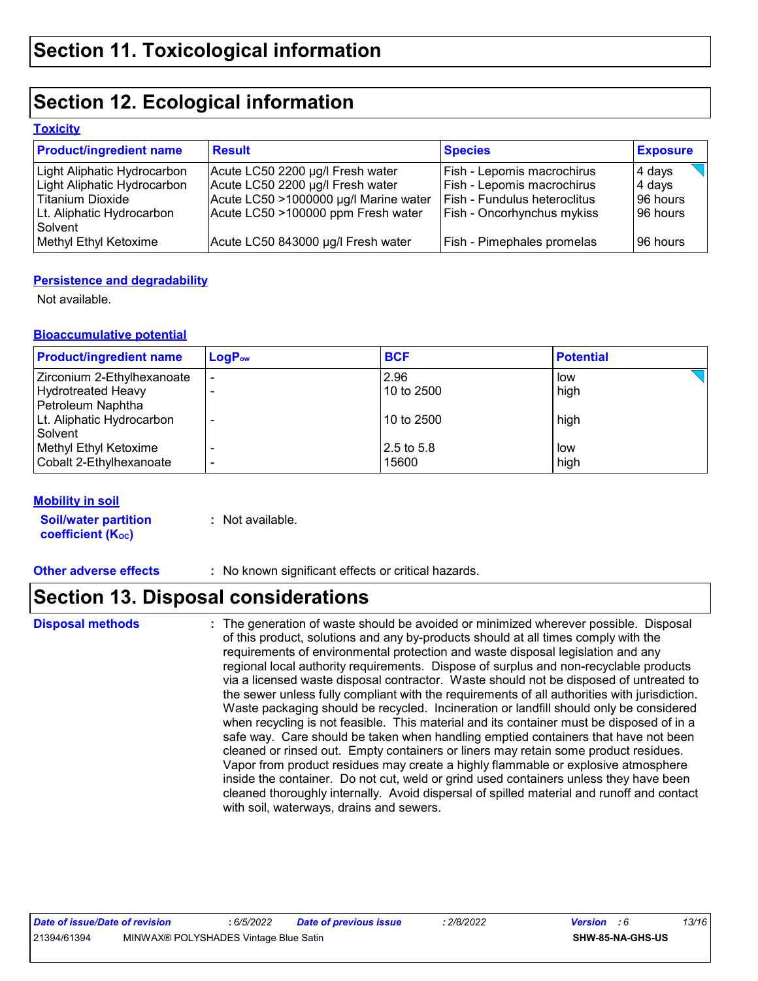# **Section 12. Ecological information**

#### **Toxicity**

| <b>Product/ingredient name</b> | <b>Result</b>                         | <b>Species</b>               | <b>Exposure</b> |
|--------------------------------|---------------------------------------|------------------------------|-----------------|
| Light Aliphatic Hydrocarbon    | Acute LC50 2200 µg/l Fresh water      | Fish - Lepomis macrochirus   | 4 days          |
| Light Aliphatic Hydrocarbon    | Acute LC50 2200 µg/l Fresh water      | Fish - Lepomis macrochirus   | 4 days          |
| Titanium Dioxide               | Acute LC50 >1000000 µg/l Marine water | Fish - Fundulus heteroclitus | 96 hours        |
| Lt. Aliphatic Hydrocarbon      | Acute LC50 >100000 ppm Fresh water    | Fish - Oncorhynchus mykiss   | 96 hours        |
| Solvent                        |                                       |                              |                 |
| Methyl Ethyl Ketoxime          | Acute LC50 843000 µg/l Fresh water    | Fish - Pimephales promelas   | 196 hours       |

#### **Persistence and degradability**

Not available.

#### **Bioaccumulative potential**

| <b>Product/ingredient name</b> | $LogP_{ow}$ | <b>BCF</b> | <b>Potential</b> |
|--------------------------------|-------------|------------|------------------|
| Zirconium 2-Ethylhexanoate     |             | 2.96       | low              |
| <b>Hydrotreated Heavy</b>      |             | 10 to 2500 | high             |
| Petroleum Naphtha              |             |            |                  |
| Lt. Aliphatic Hydrocarbon      |             | 10 to 2500 | high             |
| Solvent                        |             |            |                  |
| Methyl Ethyl Ketoxime          |             | 2.5 to 5.8 | low              |
| Cobalt 2-Ethylhexanoate        |             | 15600      | high             |

#### **Mobility in soil**

| <b>Soil/water partition</b> | : Not available |
|-----------------------------|-----------------|
| <b>coefficient (Koc)</b>    |                 |

**:** Not available.

**Other adverse effects** : No known significant effects or critical hazards.

# **Section 13. Disposal considerations**

**Disposal methods :**

The generation of waste should be avoided or minimized wherever possible. Disposal of this product, solutions and any by-products should at all times comply with the requirements of environmental protection and waste disposal legislation and any regional local authority requirements. Dispose of surplus and non-recyclable products via a licensed waste disposal contractor. Waste should not be disposed of untreated to the sewer unless fully compliant with the requirements of all authorities with jurisdiction. Waste packaging should be recycled. Incineration or landfill should only be considered when recycling is not feasible. This material and its container must be disposed of in a safe way. Care should be taken when handling emptied containers that have not been cleaned or rinsed out. Empty containers or liners may retain some product residues. Vapor from product residues may create a highly flammable or explosive atmosphere inside the container. Do not cut, weld or grind used containers unless they have been cleaned thoroughly internally. Avoid dispersal of spilled material and runoff and contact with soil, waterways, drains and sewers.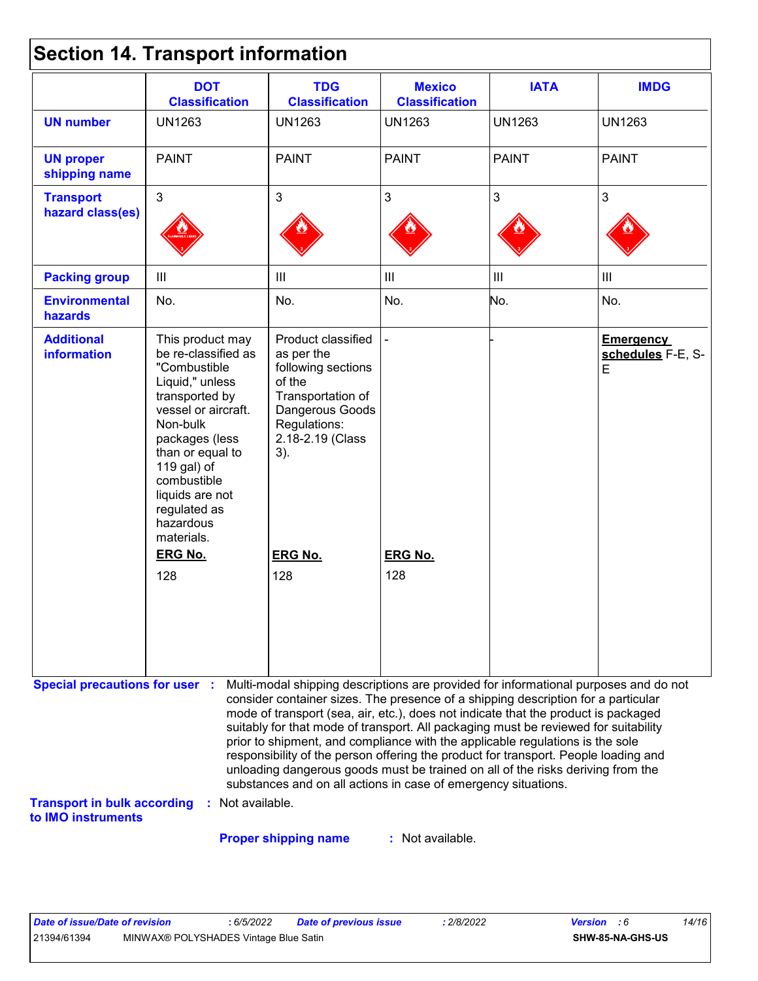|  | <b>Section 14. Transport information</b> |  |
|--|------------------------------------------|--|
|--|------------------------------------------|--|

|                                                          | <b>DOT</b><br><b>Classification</b>                                                                                                                                                                                                                                                        | <b>TDG</b><br><b>Classification</b>                                                                                                                                                                                                                                                                                                                    | <b>Mexico</b><br><b>Classification</b> | <b>IATA</b>   | <b>IMDG</b>                                |
|----------------------------------------------------------|--------------------------------------------------------------------------------------------------------------------------------------------------------------------------------------------------------------------------------------------------------------------------------------------|--------------------------------------------------------------------------------------------------------------------------------------------------------------------------------------------------------------------------------------------------------------------------------------------------------------------------------------------------------|----------------------------------------|---------------|--------------------------------------------|
| <b>UN number</b>                                         | <b>UN1263</b>                                                                                                                                                                                                                                                                              | <b>UN1263</b>                                                                                                                                                                                                                                                                                                                                          | <b>UN1263</b>                          | <b>UN1263</b> | <b>UN1263</b>                              |
| <b>UN proper</b><br>shipping name                        | <b>PAINT</b>                                                                                                                                                                                                                                                                               | <b>PAINT</b>                                                                                                                                                                                                                                                                                                                                           | <b>PAINT</b>                           | <b>PAINT</b>  | <b>PAINT</b>                               |
| <b>Transport</b><br>hazard class(es)                     | 3                                                                                                                                                                                                                                                                                          | $\mathfrak{B}$                                                                                                                                                                                                                                                                                                                                         | $\mathfrak{S}$                         | 3             | 3                                          |
| <b>Packing group</b>                                     | $\mathbf{III}$                                                                                                                                                                                                                                                                             | $\mathbf{III}$                                                                                                                                                                                                                                                                                                                                         | III                                    | III           | III                                        |
| <b>Environmental</b><br>hazards                          | No.                                                                                                                                                                                                                                                                                        | No.                                                                                                                                                                                                                                                                                                                                                    | No.                                    | No.           | No.                                        |
| <b>Additional</b><br><b>information</b>                  | This product may<br>be re-classified as<br>"Combustible<br>Liquid," unless<br>transported by<br>vessel or aircraft.<br>Non-bulk<br>packages (less<br>than or equal to<br>119 gal) of<br>combustible<br>liquids are not<br>regulated as<br>hazardous<br>materials.<br><b>ERG No.</b><br>128 | Product classified<br>as per the<br>following sections<br>of the<br>Transportation of<br>Dangerous Goods<br>Regulations:<br>2.18-2.19 (Class<br>3).<br><b>ERG No.</b><br>128                                                                                                                                                                           | <b>ERG No.</b><br>128                  |               | <b>Emergency</b><br>schedules F-E, S-<br>E |
| <b>Special precautions for user :</b>                    |                                                                                                                                                                                                                                                                                            | Multi-modal shipping descriptions are provided for informational purposes and do not<br>consider container sizes. The presence of a shipping description for a particular<br>mode of transport (sea, air, etc.), does not indicate that the product is packaged<br>suitably for that mode of transport. All packaging must be reviewed for suitability |                                        |               |                                            |
|                                                          |                                                                                                                                                                                                                                                                                            | prior to shipment, and compliance with the applicable regulations is the sole<br>responsibility of the person offering the product for transport. People loading and<br>unloading dangerous goods must be trained on all of the risks deriving from the<br>substances and on all actions in case of emergency situations.                              |                                        |               |                                            |
| <b>Transport in bulk according</b><br>to IMO instruments | : Not available.                                                                                                                                                                                                                                                                           |                                                                                                                                                                                                                                                                                                                                                        |                                        |               |                                            |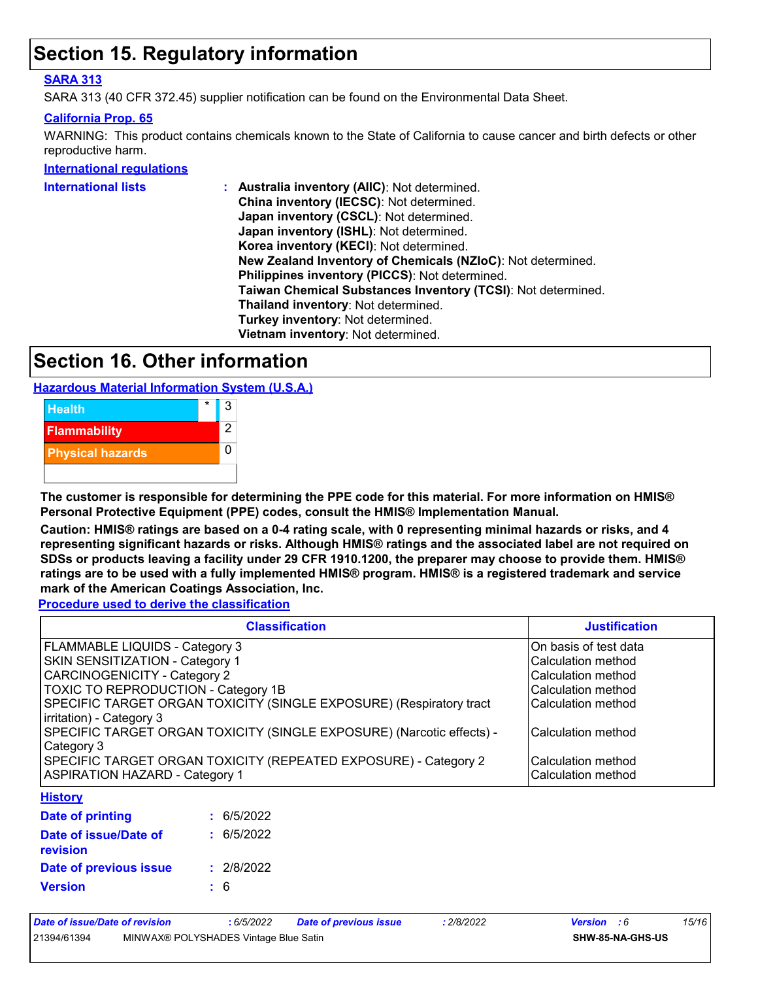## **Section 15. Regulatory information**

#### **SARA 313**

SARA 313 (40 CFR 372.45) supplier notification can be found on the Environmental Data Sheet.

#### **California Prop. 65**

WARNING: This product contains chemicals known to the State of California to cause cancer and birth defects or other reproductive harm.

#### **International regulations**

| International lists | : Australia inventory (AIIC): Not determined.                |
|---------------------|--------------------------------------------------------------|
|                     | China inventory (IECSC): Not determined.                     |
|                     | Japan inventory (CSCL): Not determined.                      |
|                     | Japan inventory (ISHL): Not determined.                      |
|                     | Korea inventory (KECI): Not determined.                      |
|                     | New Zealand Inventory of Chemicals (NZIoC): Not determined.  |
|                     | Philippines inventory (PICCS): Not determined.               |
|                     | Taiwan Chemical Substances Inventory (TCSI): Not determined. |
|                     | Thailand inventory: Not determined.                          |
|                     | Turkey inventory: Not determined.                            |
|                     | Vietnam inventory: Not determined.                           |
|                     |                                                              |

## **Section 16. Other information**

**Hazardous Material Information System (U.S.A.)**



**The customer is responsible for determining the PPE code for this material. For more information on HMIS® Personal Protective Equipment (PPE) codes, consult the HMIS® Implementation Manual.**

**Caution: HMIS® ratings are based on a 0-4 rating scale, with 0 representing minimal hazards or risks, and 4 representing significant hazards or risks. Although HMIS® ratings and the associated label are not required on SDSs or products leaving a facility under 29 CFR 1910.1200, the preparer may choose to provide them. HMIS® ratings are to be used with a fully implemented HMIS® program. HMIS® is a registered trademark and service mark of the American Coatings Association, Inc.**

**Procedure used to derive the classification**

| <b>Classification</b>                                                 | <b>Justification</b>   |
|-----------------------------------------------------------------------|------------------------|
| FLAMMABLE LIQUIDS - Category 3                                        | IOn basis of test data |
| SKIN SENSITIZATION - Category 1                                       | l Calculation method   |
| <b>CARCINOGENICITY - Category 2</b>                                   | l Calculation method   |
| TOXIC TO REPRODUCTION - Category 1B                                   | Calculation method     |
| SPECIFIC TARGET ORGAN TOXICITY (SINGLE EXPOSURE) (Respiratory tract   | Calculation method     |
| irritation) - Category 3                                              |                        |
| SPECIFIC TARGET ORGAN TOXICITY (SINGLE EXPOSURE) (Narcotic effects) - | Calculation method     |
| Category 3                                                            |                        |
| SPECIFIC TARGET ORGAN TOXICITY (REPEATED EXPOSURE) - Category 2       | l Calculation method   |
| <b>ASPIRATION HAZARD - Category 1</b>                                 | lCalculation method    |
| <b>History</b>                                                        |                        |

| Date of printing                  | : 6/5/2022 |
|-----------------------------------|------------|
| Date of issue/Date of<br>revision | : 6/5/2022 |
| Date of previous issue            | : 2/8/2022 |
| <b>Version</b>                    | : 6        |